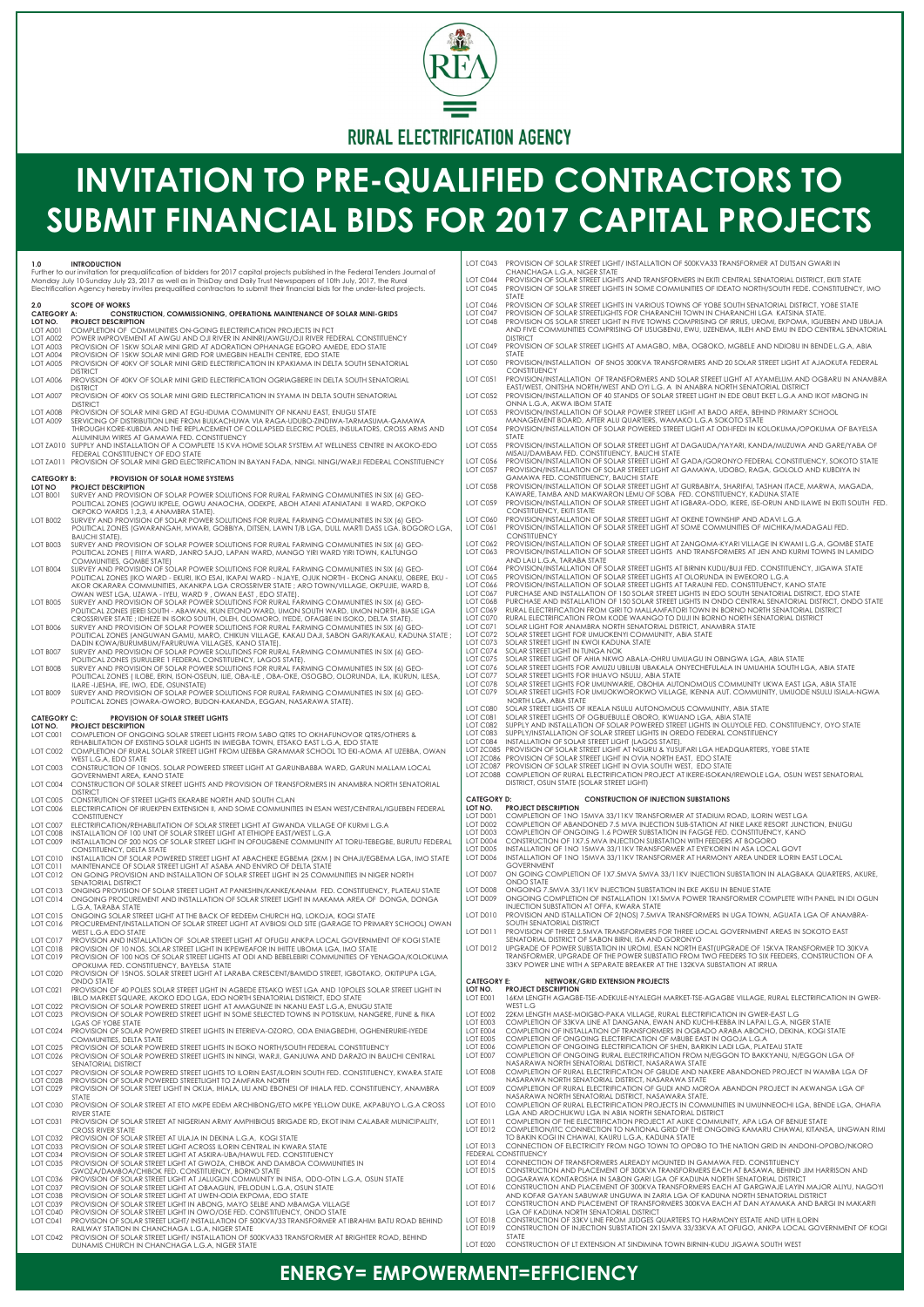INSTALLATION OF 200 NOS OF SOLAR STREET LIGHT IN OFOUGBENE COMMUNITY AT TORU-TEBEGBE, BURUTU FEDERAL CONSTITUENCY, DELTA STATE

LOT C010 - INSTALLATION OF SOLAR POWERED STREET LIGHT AT ABACHEKE EGBEMA (2KM ) IN OHAJI/EGBEMA LGA, IMO STATE<br>LOT C011 - MAINTENANCE OF SOLAR STREET LIGHT AT ASABA AND ENVIRO OF DELTA STATE LOT C012 ON GOING PROVISION AND INSTALLATION OF SOLAR STREET LIGHT IN 25 COMMUNITIES IN NIGER NORTH

- SENATORIAL DISTRICT
- LOT C013 ONGING PROVISION OF SOLAR STREET LIGHT AT PANKSHIN/KANKE/KANAM FED. CONSTITUENCY, PLATEAU STATE ONGOING PROCUREMENT AND INSTALLATION OF SOLAR STREET LIGHT IN MAKAMA AREA OF DONGA, DONGA L.G.A, TARABA STATE
- LOT C015 ONGOING SOLAR STREET LIGHT AT THE BACK OF REDEEM CHURCH HQ, LOKOJA, KOGI STATE PROCUREMENT/INSTALLATION OF SOLAR STREET LIGHT AT AVBIOSI OLD SITE (GARAGE TO PRIMARY SCHOOL) OWAN WEST L.G.A EDO STATE
- LOT C017 PROVISION AND INSTALLATION OF SOLAR STREET LIGHT AT OFUGU ANKPA LOCAL GOVERNMENT OF KOGI STATE<br>LOT C018 PROVISION OF 10 NOS. SOLAR STREET LIGHT IN IKPEWEAFOR IN IHITTE UBOMA LGA, IMO STATE LOT C018 PROVISION OF 10 NOS. SOLAR STREET LIGHT IN IKPEWEAFOR IN IHITTE UBOMA LGA, IMO STATE<br>LOT C019 PROVISION OF 100 NOS OF SOLAR STREET LIGHTS AT ODI AND BEBELEBIRI COMMUNITIES OF YE
- LOT C019 PROVISION OF 100 NOS OF SOLAR STREET LIGHTS AT ODI AND BEBELEBIRI COMMUNITIES OF YENAGOA/KOLOKUMA OPOKUMA FED. CONSTITUENCY, BAYELSA STATE LOT C020 PROVISION OF 15NOS. SOLAR STREET LIGHT AT LARABA CRESCENT/BAMIDO STREET, IGBOTAKO, OKITIPUPA LGA,
- ONDO STATE
- LOT C043 PROVISION OF SOLAR STREET LIGHT/ INSTALLATION OF 500KVA33 TRANSFORMER AT DUTSAN GWARI IN CHANCHAGA L.G.A, NIGER STATE LOT C044 PROVISION OF SOLAR STREET LIGHTS AND TRANSFORMERS IN EKITI CENTRAL SENATORIAL DISTRICT, EKITI STATE LOT C045 PROVISION OF SOLAR STREET LIGHTS IN SOME COMMUNITIES OF IDEATO NORTH/SOUTH FEDE. CONSTITUENCY, IMO STATE LOT C046 PROVISION OF SOLAR STREET LIGHTS IN VARIOUS TOWNS OF YOBE SOUTH SENATORIAL DISTRICT, YOBE STATE<br>LOT C047 PROVISION OF SOLAR STREETLIGHTS FOR CHARANCHI TOWN IN CHARANCHI LGA KATSINA STATE. LOT CO47 PROVISION OF SOLAR STREETLIGHTS FOR CHARANCHI TOWN IN CHARANCHI LGA KATSINA STATE.<br>LOT CO48 PROVISION OS SOLAR STREET LIGHT IN FIVE TOWNS COMPRISING OF IRRUS, UROMI, EKPOMA, IGUE PROVISION OS SOLAR STREET LIGHT IN FIVE TOWNS COMPRISING OF IRRUS, UROMI, EKPOMA, IGUEBEN AND UBIAJA AND FIVE COMMUNITIES COMPRISING OF USUGBENU, EWU, UZENEMA, IILEH AND EMU IN EDO CENTRAL SENATORIAL DISTRICT LOT C049 PROVISION OF SOLAR STREET LIGHTS AT AMAGBO, MBA, OGBOKO, MGBELE AND NDIOBU IN BENDE L.G.A, ABIA **STATE** LOT C050 PROVISION/INSTALLATION OF 5NOS 300KVA TRANSFORMERS AND 20 SOLAR STREET LIGHT AT AJAOKUTA FEDERAL CONSTITUENCY LOT C051 PROVISION/INSTALLATION OF TRANSFORMERS AND SOLAR STREET LIGHT AT AYAMELUM AND OGBARU IN ANAMBRA EAST/WEST, ONITSHA NORTH/WEST AND OYI L.G. A IN ANABRA NORTH SENATORIAL DISTRICT LOT C052 PROVISION/INSTALLATION OF 40 STANDS OF SOLAR STREET LIGHT IN EDE OBUT EKET L.G.A AND IKOT MBONG IN ONNA L.G.A, AKWA IBOM STATE LOT C053 PROVISION/INSTALLATION OF SOLAR POWER STREET LIGHT AT BADO AREA, BEHIND PRIMARY SCHOOL MANAGEMENT BOARD, AFTER ALU QUARTERS, WAMAKO L.G.A SOKOTO STATE LOT C054 PROVISION/INSTALLATION OF SOLAR POWERED STREET LIGHT AT ODI-IFEDI IN KOLOKUMA/OPOKUMA OF BAYELSA **STATE** LOT C055 PROVISION/INSTALLATION OF SOLAR STREET LIGHT AT DAGAUDA/YAYARI, KANDA/MUZUWA AND GARE/YABA OF MISAU/DAMBAM FED. CONSTITUENCY, BAUCHI STATE LOT C056 PROVISION/INSTALLATION OF SOLAR STREET LIGHT AT GADA/GORONYO FEDERAL CONSTITUENCY, SOKOTO STATE LOT C057 PROVISION/INSTALLATION OF SOLAR STREET LIGHT AT GAMAWA, UDOBO, RAGA, GOLOLO AND KUBDIYA IN GAMAWA FED. CONSTITUENCY, BAUCHI STATE LOT C058 PROVISION/INSTALLATION OF SOLAR STREET LIGHT AT GURBABIYA, SHARIFAI, TASHAN ITACE, MARWA, MAGADA, KAWARE, TAMBA AND MAKWARON LEMU OF SOBA FED. CONSTITUENCY, KADUNA STATE LOT C059 PROVISION/INSTALLATION OF SOLAR STREET LIGHT AT IGBARA-ODO, IKERE, ISE-ORUN AND ILAWE IN EKITI SOUTH FED. CONSTITUENCY, EKITI STATE LOT C060 PROVISION/INSTALLATION OF SOLAR STREET LIGHT AT OKENE TOWNSHIP AND ADAVI L.G.A<br>LOT C061 PROVISION/INSTALLATION OF SOLAR STREET LIGHT AT SOME COMMUNITIES OF MICHIKA/M LOT C061 PROVISION/INSTALLATION OF SOLAR STREET LIGHT AT SOME COMMUNITIES OF MICHIKA/MADAGALI FED. CONSTITUENCY LOT C062 PROVISION/INSTALLATION OF SOLAR STREET LIGHT AT ZANGOMA-KYARI VILLAGE IN KWAMI L.G.A, GOMBE STATE<br>LOT C063 PROVISION/INSTALLATION OF SOLAR STREET LIGHTS AND TRANSFORMERS AT JEN AND KURMI TOWNS IN LAMIDO LOT C063 PROVISION/INSTALLATION OF SOLAR STREET LIGHTS AND TRANSFORMERS AT JEN AND KURMI TOWNS IN LAMIDO AND LAU L.G.A, TARABA STATE LOT C064 - PROVISION/INSTALLATION OF SOLAR STREET LIGHTS AT BIRNIN KUDU/BUJI FED. CONSTITUENCY, JIGAWA STATE<br>LOT C065 - PROVISION/INSTALLATION OF SOLAR STREET LIGHTS AT OLORUNDA IN EWEKORO L.G.A LOT C066 - PROVISION/INSTALLATION OF SOLAR STREET LIGHTS AT TARAUNI FED. CONSTITUENCY, KANO STATE<br>LOT C067 - PURCHASE AND INSTALLATION OF 150 SOLAR STREET LIGHTS IN EDO SOUTH SENATORIAL DISTRICT, EDO STATE LOT C068 - PURCHASE AND INSTALLATION OF 150 SOLAR STREET LIGHTS IN ONDO CENTRAL SENATORIAL DISTRICT, ONDO STATE<br>LOT C069 - RURAL ELECTRIFICATION FROM GIRI TO MALLAMFATORI TOWN IN BORNO NORTH SENATORIAL DISTRICT LOT C070 RURAL ELECTRIFICATION FROM KODE WAANGO TO DUJI IN BORNO NORTH SENATORIAL DISTRICT<br>LOT C071 SOLAR LIGHT FOR ANAMBRA NORTH SENATORIAL DISTRICT, ANAMBRA STATE LOT C072 SOLAR STREET LIGHT FOR UMUOKENYI COMMUNITY, ABIA STATE<br>LOT C073 SOLAR STREET LIGHT IN KWOI KADUNA STATE LOT C073 SOLAR STREET LIGHT IN KWOI KADUNA STATE<br>LOT C073 SOLAR STREET LIGHT IN KWOI KADUNA STATE<br>LOT C075 SOLAR STREET LIGHT OF AHIA NKWO ABALA-0 SOLAR STREET LIGHT IN TUNGA NOK LOT C075 SOLAR STREET LIGHT OF AHIA NKWO ABALA-OHRU UMUAGU IN OBINGWA LGA, ABIA STATE LOT C076 SOLAR STREET LIGHTS FOR AMUZU UBILUBI UBAKALA ONYECHEFULALA IN UMUAHIA SOUTH LGA, ABIA STATE<br>LOT C077 SOLAR STREET LIGHTS FOR IHUAVO NSULU, ABIA STATE LOT C078 SOLAR STREET LIGHTS FOR UMUNWARIE, OBOHIA AUTONOMOUS COMMUNITY UKWA EAST LGA, ABIA STATE<br>LOT C079 SOLAR STREET LIGHTS FOR UMUOKWOROKWO VILLAGE, IKENNA AUT. COMMUNITY, UMUODE NSULU ISIALA-SOLAR STREET LIGHTS FOR UMUOKWOROKWO VILLAGE, IKENNA AUT. COMMUNITY, UMUODE NSULU ISIALA-NGWA NORTH LGA, ABIA STATE LOT C080 SOLAR STREET LIGHTS OF IKEALA NSULU AUTONOMOUS COMMUNITY, ABIA STATE SOLAR STREET LIGHTS OF OGBUEBULLE OBORO, IKWUANO LGA, ABIA STATE LOT C082 SUPPLY AND INSTALLATION OF SOLAR POWERED STREET LIGHTS IN OLUYOLE FED. CONSTITUENCY, OYO STATE LOT C083 SUPPLY/INSTALLATION OF SOLAR STREET LIGHTS IN OREDO FEDERAL CONSTITUENCY SUPPLY/INSTALLATION OF SOLAR STREET LIGHTS IN OREDO FEDERAL CONSTITUENCY LOT C084 INSTALLATION OF SOLAR STREET LIGHT (LAGOS STATE).<br>LOT ZC085 PROVISION OF SOLAR STREET LIGHT AT NGURU & YUSU PROVISION OF SOLAR STREET LIGHT AT NGURU & YUSUFARI LGA HEADQUARTERS, YOBE STATE LOT ZC086 PROVISION OF SOLAR STREET LIGHT IN OVIA NORTH EAST, EDO STATE LOT ZC087 PROVISION OF SOLAR STREET LIGHT IN OVIA SOUTH WEST, EDO STATE LOT ZC088 COMPLETION OF RURAL ELECTRIFICATION PROJECT AT IKERE-ISOKAN/IREWOLE LGA, OSUN WEST SENATORIAL DISTRICT, OSUN STATE (SOLAR STREET LIGHT) **CATEGORY D: CONSTRUCTION OF INJECTION SUBSTATIONS LOT NO. PROJECT DESCRIPTION** LOT D001 COMPLETION OF 1NO 15MVA 33/11KV TRANSFORMER AT STADIUM ROAD, ILORIN WEST LGA LOT D002 COMPLETION OF ABANDONED 7.5 MVA INJECTION SUB-STATION AT NIKE LAKE RESORT JUNCTION, ENUGU<br>LOT D003 COMPLETION OF ONGOING 1.6 POWER SUBSTATION IN FAGGE FED. CONSTITUENCY, KANO LOT D003 COMPLETION OF ONGOING 1.6 POWER SUBSTATION IN FAGGE FED. CONSTITUENCY, KANO<br>LOT D004 CONSTRUCTION OF 1X7.5 MVA INJECTION SUBSTATION WITH FEEDERS AT BOGORO LOT D004 CONSTRUCTION OF 1X7.5 MVA INJECTION SUBSTATION WITH FEEDERS AT BOGORO LOT D005 INSTALLATION OF 1NO 15MVA 33/11KV TRANSFORMER AT EYE'KORIN IN ASA LOCAL GOVT<br>LOT D006 INSTALLATION OF 1NO 15MVA 33/11KV TRANSFORMER AT HARMONY AREA UNDER ILORIN LOT D006 INSTALLATION OF 1NO 15MVA 33/11KV TRANSFORMER AT HARMONY AREA UNDER ILORIN EAST LOCAL GOVERNMENT LOT D007 ON GOING COMPLETION OF 1X7.5MVA 5MVA 33/11KV INJECTION SUBSTATION IN ALAGBAKA QUARTERS, AKURE ONDO STATE LOT D008 ONGOING 7.5MVA 33/11KV INJECTION SUBSTATION IN EKE AKISU IN BENUE STATE<br>LOT D009 ONGOING COMPLETION OF INSTALLATION 1X15MVA POWER TRANSFORMER CC ONGOING COMPLETION OF INSTALLATION 1X15MVA POWER TRANSFORMER COMPLETE WITH PANEL IN IDI OGUN INJECTION SUBSTATION AT OFFA, KWARA STATE LOT D010 PROVISION AND ISTALLATION OF 2(NOS) 7.5MVA TRANSFORMERS IN UGA TOWN, AGUATA LGA OF ANAMBRA-SOUTH SENATORIAL DISTRICT
	- LOT D011 PROVISION OF THREE 2.5MVA TRANSFORMERS FOR THREE LOCAL GOVERNMENT AREAS IN SOKOTO EAST SENATORIAL DISTRICT OF SABON BIRNI, ISA AND GORONYO
	- LOT D012 UPGRADE OF POWER SUBSTATION IN UROMI, ESAN NORTH EAST(UPGRADE OF 15KVA TRANSFORMER TO 30KVA TRANSFORMER, UPGRADE OF THE POWER SUBSTATIO FROM TWO FEEDERS TO SIX FEEDERS, CONSTRUCTION OF A 33KV POWER LINE WITH A SEPARATE BREAKER AT THE 132KVA SUBSTATION AT IRRUA

**CATEGORY E:** NETWORK/GRID EXTENSION PROJECTS

| LOT C021 PROVISION OF 40 POLES SOLAR STREET LIGHT IN AGBEDE ETSAKO WEST LGA AND 10POLES SOLAR STREET LIGHT IN  | LOT NO.     | <b>PROJECT DESCRIPTION</b>                                                                             |
|----------------------------------------------------------------------------------------------------------------|-------------|--------------------------------------------------------------------------------------------------------|
| IBILO MARKET SQUARE. AKOKO EDO LGA. EDO NORTH SENATORIAL DISTRICT. EDO STATE                                   | LOT E001    | 16KM LENGTH AGAGBE-TSE-ADEKULE-NYALEGH MARKET-TSE-AGAGBE VILLAGE. RURAL ELECTRIFICATION IN GWER-       |
| LOT C022 PROVISION OF SOLAR POWERED STREET LIGHT AT AMAGUNZE IN NKANU EAST L.G.A. ENUGU STATE                  |             | WEST L.G                                                                                               |
| LOT C023 PROVISION OF SOLAR POWERED STREET LIGHT IN SOME SELECTED TOWNS IN POTISKUM, NANGERE, FUNE & FIKA      | LOT E002    | 22KM LENGTH MASE-MOIGBO-PAKA VILLAGE, RURAL ELECTRIFICATION IN GWER-EAST L.G                           |
| LGAS OF YOBE STATE                                                                                             | LOT E003    | COMPLETION OF 33KVA LINE AT DANGANA. EWAN AND KUCHI-KEBBA IN LAPAI L.G.A. NIGER STATE                  |
| LOT C024 PROVISION OF SOLAR POWERED STREET LIGHTS IN ETERIEVA-OZORO, ODA ENIAGBEDHI, OGHENERURIE-IYEDE         | LOT E004    | COMPLETION OF INSTALLATION OF TRANSFORMERS IN OGBADO ARABA ABOCHO. DEKINA, KOGI STATE                  |
| <b>COMMUNITIES, DELTA STATE</b>                                                                                | LOT E005    | COMPLETION OF ONGOING ELECTRIFICATION OF MBUBE EAST IN OGOJA L.G.A                                     |
| LOT C025 PROVISION OF SOLAR POWERED STREET LIGHTS IN ISOKO NORTH/SOUTH FEDERAL CONSTITUENCY                    | LOT E006    | COMPLETION OF ONGOING ELECTRIFICATION OF SHEN, BARIKIN LADI LGA, PLATEAU STATE                         |
| LOT C026 PROVISION OF SOLAR POWERED STREET LIGHTS IN NINGI, WARJI, GANJUWA AND DARAZO IN BAUCHI CENTRAL        | LOT E007    | COMPLETION OF ONGOING RURAL ELECTRIFICATION FROM N/EGGON TO BAKKYANU, N/EGGON LGA OF                   |
| <b>SENATORIAL DISTRICT</b>                                                                                     |             | NASARAWA NORTH SENATORIAL DISTRICT, NASARAWA STATE                                                     |
| LOT C027 PROVISION OF SOLAR POWERED STREET LIGHTS TO ILORIN EAST/ILORIN SOUTH FED. CONSTITUENCY, KWARA STATE   | LOT E008    | COMPLETION OF RURAL ELECTRIFICATION OF GBUDE AND NAKERE ABANDONED PROJECT IN WAMBA LGA OF              |
| LOT C028 PROVISION OF SOLAR POWERED STREETLIGHT TO ZAMFARA NORTH                                               |             | NASARAWA NORTH SENATORIAL DISTRICT, NASARAWA STATE                                                     |
| LOT C029 PROVISION OF SOLAR STEET LIGHT IN OKIJA, IHIALA, ULI AND EBONESI OF IHIALA FED. CONSTITUENCY, ANAMBRA | LOT E009    | COMPLETION OF RURAL ELECTRIFICATION OF GUDI AND MOROA ABANDON PROJECT IN AKWANGA LGA OF                |
| STATE                                                                                                          |             | NASARAWA NORTH SENATORIAL DISTRICT, NASAWARA STATE.                                                    |
| LOT C030 PROVISION OF SOLAR STREET AT ETO MKPE EDEM ARCHIBONG/ETO MKPE YELLOW DUKE, AKPABUYO L.G.A CROSS       | LOT E010    | COMPLETION OF RURAL ELECTRIFICATION PROJECTS IN COMMUNITIES IN UMUNNEOCHI LGA. BENDE LGA, OHAFIA       |
| RIVER STATE                                                                                                    |             | LGA AND AROCHUKWU LGA IN ABIA NORTH SENATORIAL DISTRICT                                                |
| LOT C031 PROVISION OF SOLAR STREET AT NIGERIAN ARMY AMPHIBIOUS BRIGADE RD. EKOT INIM CALABAR MUNICIPALITY.     | $1$ ot foll | COMPLETION OF THE ELECTRIFICATION PROJECT AT AUKE COMMUNITY. APA LGA OF BENUE STATE                    |
| CROSS RIVER STATE                                                                                              | LOT E012    | COMPLETION/ITC CONNECTION TO NATIONAL GRID OF THE ONGOING KAMARU CHAWAI, KITANSA, UNGWAN RIMI          |
| LOT C032 PROVISION OF SOLAR STREET AT ULAJA IN DEKINA L.G.A. KOGI STATE                                        |             | TO BAKIN KOGI IN CHAWAI, KAURU L.G.A. KADUNA STATE                                                     |
| LOT C033 PROVISION OF SOLAR STREET LIGHT ACROSS ILORIN CENTRAL IN KWARA STATE                                  |             | LOT E013 CONNECTION OF ELECTRICITY FROM NGO TOWN TO OPOBO TO THE NATION GRID IN ANDONI-OPOBO/NKORO     |
| LOT C034 PROVISION OF SOLAR STREET LIGHT AT ASKIRA-UBA/HAWUL FED. CONSTITUENCY                                 |             | <b>FEDERAL CONSTITUENCY</b>                                                                            |
| LOT C035 PROVISION OF SOLAR STREET LIGHT AT GWOZA, CHIBOK AND DAMBOA COMMUNITIES IN                            |             | LOT E014 CONNECTION OF TRANSFORMERS ALREADY MOUNTED IN GAMAWA FED. CONSTITUENCY                        |
| GWOZA/DAMBOA/CHIBOK FED. CONSTITUENCY, BORNO STATE                                                             |             | LOT E015 CONSTRUCTION AND PLACEMENT OF 300KVA TRANSFORMERS EACH AT BASAWA, BEHIND JIM HARRISON AND     |
| LOT C036 PROVISION OF SOLAR STREET LIGHT AT JALUGUN COMMUNITY IN INISA, ODO-OTIN L.G.A. OSUN STATE             |             | DOGARAWA KONTAROSHA IN SABON GARI LGA OF KADUNA NORTH SENATORIAL DISTRICT                              |
| LOT C037 PROVISION OF SOLAR STREET LIGHT AT OBAAGUN, IFELODUN L.G.A. OSUN STATE                                |             | LOT E016 CONSTRUCTION AND PLACEMENT OF 300KVA TRANSFORMERS EACH AT GARGWA.JE LAYIN MAJOR ALIYU, NAGOYI |
| LOT C038 PROVISION OF SOLAR STREET LIGHT AT UWEN-ODIA EKPOMA. EDO STATE                                        |             | AND KOFAR GAYAN SABUWAR UNGUWA IN ZARIA LGA OF KADUNA NORTH SENATORIAL DISTRICT                        |
| LOT C039 PROVISION OF SOLAR STREET LIGHT IN ABONG, MAYO SELBE AND MBAMGA VILLAGE                               | LOT E017    | CONSTRUCTION AND PLACEMENT OF TRANSFORMERS 300KVA EACH AT DAN AYAMAKA AND BARGI IN MAKARFI             |
| LOT C040 PROVISION OF SOLAR STREET LIGHT IN OWO/OSE FED. CONSTITUENCY, ONDO STATE                              |             | LGA OF KADUNA NORTH SENATORIAL DISTRICT                                                                |
| LOT C041 PROVISION OF SOLAR STREET LIGHT/INSTALLATION OF 500KVA/33 TRANSFORMER AT IBRAHIM BATU ROAD BEHIND     | LOT E018    | CONSTRUCTION OF 33KV LINE FROM JUDGES QUARTERS TO HARMONY ESTATE AND UITH ILORIN                       |
| RAILWAY STATION IN CHANCHAGA L.G.A. NIGER STATE                                                                | LOT E019    | CONSTRUCTION OF INJECTION SUBSTATION 2X15MVA 33/33KVA AT OFUGO, ANKPA LOCAL GOVERNMENT OF KOGI         |
| LOT C042 PROVISION OF SOLAR STREET LIGHT/INSTALLATION OF 500KVA33 TRANSFORMER AT BRIGHTER ROAD, BEHIND         |             | STATE                                                                                                  |
| DUNAMIS CHURCH IN CHANCHAGA L.G.A. NIGER STATE                                                                 | LOT E020    | CONSTRUCTION OF LT EXTENSION AT SINDIMINA TOWN BIRNIN-KUDU JIGAWA SOUTH WEST                           |

## **ENERGY= EMPOWERMENT=EFFICIENCY**



## **INVITATION TO PRE-QUALIFIED CONTRACTORS TO SUBMIT FINANCIAL BIDS FOR 2017 CAPITAL PROJECTS**

**1.0**<br>Further to our invitation for prequalification of bidders for 2017 capital projects published in the Federal Tenders Journal of<br>Monday July 10-Sunday July 23, 2017 as well as in ThisDay and Daily Trust Newspapers of Electrication Agency hereby invites prequalied contractors to submit their nancial bids for the under-listed projects. **2.0 SCOPE OF WORKS CATEGORY A: CONSTRUCTION, COMMISSIONING, OPERATION& MAINTENANCE OF SOLAR MINI-GRIDS** LOT NO. **PROJECT DESCRIPTION**<br>LOT A001 COMPLETION OF COM LOT A001 COMPLETION OF COMMUNITIES ON-GOING ELECTRIFICATION PROJECTS IN FCT LOT A002 POWER IMPROVEMENT AT AWGU AND OJI RIVER IN ANINRI/AWGU/OJI RIVER FEDERAL CONSTITUENCY<br>LOT A003 PROVISION OF 15KW SOLAR MINI GRID AT ADORATION OPHANAGE EGORO AMEDE. EDO STATE LOT A003 PROVISION OF 15KW SOLAR MINI GRID AT ADORATION OPHANAGE EGORO AMEDE, EDO STATE<br>LOT A004 PROVISION OF 15KW SOLAR MINI GRID FOR UMEGBIN HEALTH CENTRE, EDO STATE LOT A004 PROVISION OF 15KW SOLAR MINI GRID FOR UMEGBIN HEALTH CENTRE, EDO STATE<br>LOT A005 PROVISION OF 40KV OF SOLAR MINI GRID ELECTRIFICATION IN KPAKIAMA IN DELT PROVISION OF 40KV OF SOLAR MINI GRID ELECTRIFICATION IN KPAKIAMA IN DELTA SOUTH SENATORIAL **DISTRICT** LOT A006 PROVISION OF 40KV OF SOLAR MINI GRID ELECTRIFICATION OGRIAGBERE IN DELTA SOUTH SENATORIAL DISTRICT LOT A007 PROVISION OF 40KV OS SOLAR MINI GRID ELECTRIFICATION IN SYAMA IN DELTA SOUTH SENATORIAL DISTRICT LOT A008 PROVISION OF SOLAR MINI GRID AT EGU-IDUMA COMMUNITY OF NKANU EAST, ENUGU STATE<br>LOT A009 SERVICING OF DISTRIBUTION LINE FROM BULKACHUWA VIA RAGA-UDUBO-ZINDIWA-TARMASL SERVICING OF DISTRIBUTION LINE FROM BULKACHUWA VIA RAGA-UDUBO-ZINDIWA-TARMASUMA-GAMAWA THROUGH KORE-KUBDIA AND THE REPLACEMENT OF COLLAPSED ELECRIC POLES, INSULATORS, CROSS ARMS AND ALUMINIUM WIRES AT GAMAWA FED. CONSTITUENCY LOT ZA010 SUPPLY AND INSTALLATION OF A COMPLETE 15 KVA HOME SOLAR SYSTEM AT WELLNESS CENTRE IN AKOKO-EDO FEDERAL CONSTITUENCY OF EDO STATE LOT ZA011 PROVISION OF SOLAR MINI GRID ELECTRIFICATION IN BAYAN FADA, NINGI. NINGI/WARJI FEDERAL CONSTITUENCY **CATEGORY B: PROVISION OF SOLAR HOME SYSTEMS LOT NO PROJECT DESCRIPTION**<br>LOT B001 SURVEY AND PROVISIC SURVEY AND PROVISION OF SOLAR POWER SOLUTIONS FOR RURAL FARMING COMMUNITIES IN SIX (6) GEO-POLITICAL ZONES (OGWU IKPELE, OGWU ANAOCHA, ODEKPE, ABOH ATANI ATANIATANI II WARD, OKPOKO OKPOKO WARDS 1,2,3, 4 ANAMBRA STATE). LOT B002 SURVEY AND PROVISION OF SOLAR POWER SOLUTIONS FOR RURAL FARMING COMMUNITIES IN SIX (6) GEO POLITICAL ZONES (GWARANGAH, MWARI, GOBBIYA, DITSEN, LAWN T/B LGA, DULL MARTI DASS LGA. BOGORO LGA, BAUCHI STATE). LOT B003 SURVEY AND PROVISION OF SOLAR POWER SOLUTIONS FOR RURAL FARMING COMMUNITIES IN SIX (6) GEO-POLITICAL ZONES ( FIIIYA WARD, JANRO SAJO, LAPAN WARD, MANGO YIRI WARD YIRI TOWN, KALTUNGO COMMUNITIES, GOMBE STATE) LOT B004 SURVEY AND PROVISION OF SOLAR POWER SOLUTIONS FOR RURAL FARMING COMMUNITIES IN SIX (6) GEO-POLITICAL ZONES (IKO WARD - EKURI, IKO ESAI, IKAPAI WARD - NJAYE, OJUK NORTH - EKONG ANAKU, OBERE, EKU AKOR OKARARA COMMUNITIES, AKANKPA LGA CROSSRIVER STATE ; ARO TOWN/VILLAGE, OKPUJIE, WARD 8, OWAN WEST LGA, UZAWA - IYEU, WARD 9 , OWAN EAST , EDO STATE). LOT B005 SURVEY AND PROVISION OF SOLAR POWER SOLUTIONS FOR RURAL FARMING COMMUNITIES IN SIX (6) GEO-POLITICAL ZONES (EREI SOUTH - ABAWAN, IKUN ETONO WARD, UMON SOUTH WARD, UMON NORTH, BIASE LGA CROSSRIVER STATE ; IDHEZE IN ISOKO SOUTH, OLEH, OLOMORO, IYEDE, OFAGBE IN ISOKO, DELTA STATE). LOT B006 SURVEY AND PROVISION OF SOLAR POWER SOLUTIONS FOR RURAL FARMING COMMUNITIES IN SIX (6) GEO-POLITICAL ZONES (ANGUWAN GAMU, MARO, CHIKUN VILLAGE, KAKAU DAJI, SABON GARI/KAKAU, KADUNA STATE ; DADIN KOWA/BURUMBUM/FARURUWA VILLAGES, KANO STATE). LOT B007 SURVEY AND PROVISION OF SOLAR POWER SOLUTIONS FOR RURAL FARMING COMMUNITIES IN SIX (6) GEO POLITICAL ZONES (SURULERE 1 FEDERAL CONSTITUENCY, LAGOS STATE). LOT B008 SURVEY AND PROVISION OF SOLAR POWER SOLUTIONS FOR RURAL FARMING COMMUNITIES IN SIX (6) GEO-POLITICAL ZONES ( ILOBE, ERIN, ISON-OSEUN, ILIE, OBA-ILE , OBA-OKE, OSOGBO, OLORUNDA, ILA, IKURUN, ILESA, ILARE -IJESHA, IFE, IWO, EDE, OSUNSTATE) LOT B009 SURVEY AND PROVISION OF SOLAR POWER SOLUTIONS FOR RURAL FARMING COMMUNITIES IN SIX (6) GEO-POLITICAL ZONES (OWARA-OWORO, BUDON-KAKANDA, EGGAN, NASARAWA STATE). **CATEGORY C: PROVISION OF SOLAR STREET LIGHTS LOT NO. PROJECT DESCRIPTION** LOT C001 COMPLETION OF ONGOING SOLAR STREET LIGHTS FROM SABO QTRS TO OKHAFUNOVOR QTRS/OTHERS & REHABILITATION OF EXISTING SOLAR LIGHTS IN IMIEGBA TOWN, ETSAKO EAST L.G.A, EDO STATE LOT C002 COMPLETION OF RURAL SOLAR STREET LIGHT FROM UZEBBA GRAMMAR SCHOOL TO EKI-AOMA AT UZEBBA, OWAN WEST L.G.A, EDO STATE LOT C003 CONSTRUCTION OF 10NOS. SOLAR POWERED STREET LIGHT AT GARUNBABBA WARD, GARUN MALLAM LOCAL GOVERNMENT AREA, KANO STATE LOT C004 CONSTRUCTION OF SOLAR STREET LIGHTS AND PROVISION OF TRANSFORMERS IN ANAMBRA NORTH SENATORIAL DISTRICT LOT C005 CONSTRUTION OF STREET LIGHTS EKARABE NORTH AND SOUTH CLAN<br>LOT C006 ELECTRIFICATION OF IRUEKPEN EXTENSION II, AND SOME COMMUNIT ELECTRIFICATION OF IRUEKPEN EXTENSION II, AND SOME COMMUNITIES IN ESAN WEST/CENTRAL/IGUEBEN FEDERAL CONSTITUENCY LOT C007 ELECTRIFICATION/REHABILITATION OF SOLAR STREET LIGHT AT GWANDA VILLAGE OF KURMI L.G.A<br>LOT C008 INSTALLATION OF 100 UNIT OF SOLAR STREET LIGHT AT ETHIOPE EAST/WEST L.G.A LOT C008 INSTALLATION OF 100 UNIT OF SOLAR STREET LIGHT AT ETHIOPE EAST/WEST L.G.A<br>LOT C009 INSTALLATION OF 200 NOS OF SOLAR STREET LIGHT IN OFOUGBENE COMMUNITY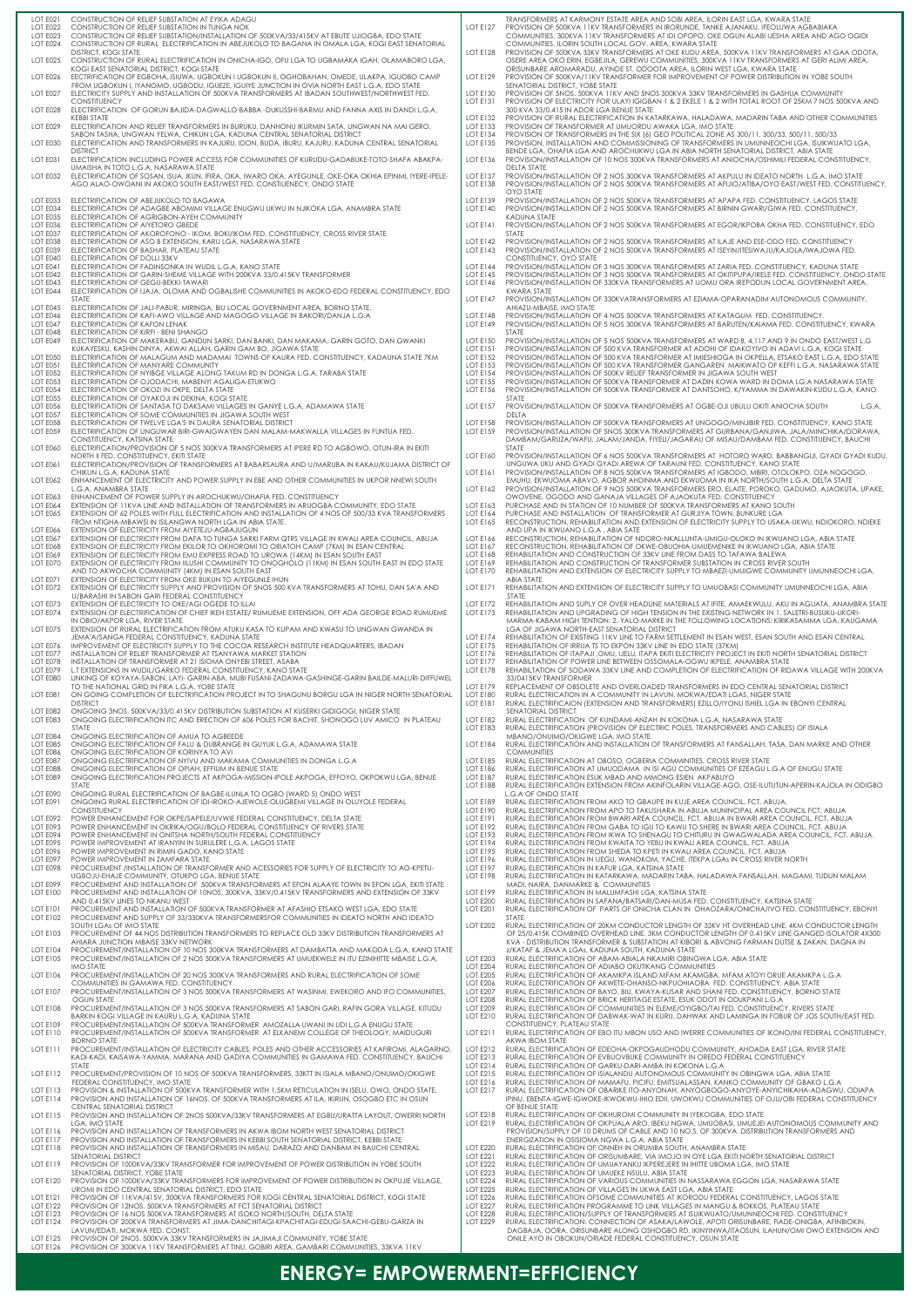| LOT E022                    | LOT E021 CONSTRUCTION OF RELIEF SUBSTATION AT EYIKA ADAGU                                                                                                                                          |                                    | TRANSFORMERS AT KARMONY ESTATE AREA AND SOBI AREA, ILORIN EAST LGA, KWARA STATE                                                                                                                             |
|-----------------------------|----------------------------------------------------------------------------------------------------------------------------------------------------------------------------------------------------|------------------------------------|-------------------------------------------------------------------------------------------------------------------------------------------------------------------------------------------------------------|
| LOT E023                    | CONSTRUCTION OF RELIEF SUBSTATION IN TUNGA NOK<br>CONSTRUCTION OF RELIEF SUBSTATION/INSTALLATION OF 500KVA/33/415KV AT EBUTE UJIOGBA, EDO STATE                                                    | <b>LOT E127</b>                    | PROVISION OF 500KVA 11KV TRANSFORMERS IN IRORUNDE, TANKE AJANAKU, IFEOLUWA AGBABIAKA<br>COMMUNITIES, 300KVA 11KV TRANSFORMERS AT IDI OPOPO, OKE OGUN ALABI IJESHA AREA AND AGO OGIDI                        |
| LOT E024                    | CONSTRUCTION OF RURAL ELECTRIFICATION IN ABEJUKOLO TO BAGANA IN OMALA LGA, KOGI EAST SENATORIAL                                                                                                    |                                    | COMMUNITIES, ILORIN SOUTH LOCAL GOV. AREA, KWARA STATE                                                                                                                                                      |
| LOT E025                    | <b>DISTRICT, KOGI STATE</b><br>CONSTRUCTION OF RURAL ELECTRIFICATION IN ONICHA-IGO, OFU LGA TO UGBAMAKA IGAH, OLAMABORO LGA,                                                                       | LOT E128                           | PROVISION OF 500KVA 33KV TRANSFORMERS AT OKE KUDU AREA, 500KVA 11KV TRANSFORMERS AT GAA ODOTA,<br>OSERE AREA OKO ERIN, EGBEJILA, GEREWU COMMUNITIES, 300KVA 11KV TRANSFORMERS AT GERI ALIMI AREA,           |
|                             | KOGI EAST SENATORIAL DISTRICT, KOGI STATE                                                                                                                                                          |                                    | ORISUNBARE AROMARADU, AYINDE ST. ODOOTA AREA, ILORIN WEST LGA, KWARA STATE                                                                                                                                  |
| LOT E026                    | EECTRIFICATION OF EGBOHA, ISIUWA, UGBOKUN I UGBOKUN II, OGHOBAHAN, OMEDE, ULAKPA, IGUOBO CAMP                                                                                                      | <b>LOT E129</b>                    | PROVISION OF 500KVA/11KV TRANSFORMER FOR IMPROVEMENT OF POWER DISTRIBUTION IN YOBE SOUTH                                                                                                                    |
| LOT E027                    | FROM UGBOKUN I, IYANOMO, UGBODU, IGUEZE, IGUIYE JUNCTION IN OVIA NORTH EAST L.G.A, EDO STATE<br>ELECTRICITY SUPPLY AND INSTALLATION OF 500KVA TRANSFORMERS AT IBADAN SOUTHWEST/NORTHWEST FED.      | <b>LOT E130</b>                    | SENATORIAL DISTRICT, YOBE STATE<br>PROVISION OF 5NOS. 500KVA 11KV AND 5NOS 300KVA 33KV TRANSFORMERS IN GASHUA COMMUNITY                                                                                     |
|                             | <b>CONSTITUENCY</b>                                                                                                                                                                                |                                    | LOT E131 PROVISION OF ELECTRICITY FOR ULAYI IGIGBAN 1 & 2 EKELE 1 & 2 WITH TOTAL ROOT OF 25KM 7 NOS 500KVA AND                                                                                              |
| LOT E028                    | ELECTRIFICATION OF GORUN BAJIDA-DAGWALLO-BABBA -DUKUSSHI-BARMU AND FANNA AXIS IN DANDI L.G.A,<br><b>KEBBI STATE</b>                                                                                |                                    | 300 KVA 33/0.415 IN ADOR LGA BENUE STATE<br>LOT E132 PROVISION OF RURAL ELECTRIFICATION IN KATARKAWA, HALADAWA, MADARIN TABA AND OTHER COMMUNITIES                                                          |
| LOT E029                    | ELECTRIFICATION AND RELIEF TRANSFORMERS IN BURUKU, DANHONU IKURMIN SATA, UNGWAN NA MAI GERO,                                                                                                       |                                    | LOT E133 PROVISION OF TRANSFORMER AT UMUORDU AWAKA LGA, IMO STATE                                                                                                                                           |
|                             | SABON TASHA, UNGWAN YELWA, CHIKUN LGA, KADUNA CENTRAL SENATORIAL DISTRICT                                                                                                                          |                                    | LOT E134 PROVISION OF TRANSFORMERS IN THE SIX (6) GEO POLITICAL ZONE AS 300/11, 300/33, 500/11, 500/33                                                                                                      |
| LOT E030                    | ELECTRIFICATION AND TRANSFORMERS IN KAJURU, IDON, BUDA, IBURU, KAJURU, KADUNA CENTRAL SENATORIAL<br><b>DISTRICT</b>                                                                                |                                    | LOT E135 PROVISION, INSTALLATION AND COMMISSIONING OF TRANSFORMERS IN UMUNNEOCHI LGA, ISUIKWUATO LGA,<br>BENDE LGA, OHAFIA LGA AND AROCHUKWU LGA IN ABIA NORTH SENATORIAL DISTRICT, ABIA STATE              |
| LOT E031                    | ELECTRIFICATION INCLUDING POWER ACCESS FOR COMMUNITIES OF KURUDU-GADABUKE-TOTO-SHAFA ABAKPA-                                                                                                       | <b>LOT E136</b>                    | PROVISION/INSTALLATION OF 10 NOS 300KVA TRANSFORMERS AT ANIOCHA/OSHIMILI FEDERAL CONSTITUENCY,                                                                                                              |
|                             | UMAISHA IN TOTO L.G.A, NASARAWA STATE                                                                                                                                                              |                                    | <b>DELTA STATE</b>                                                                                                                                                                                          |
| LOT E032                    | ELECTRIFICATION OF SOSAN, ISUA, IKUN, IFIRA, OKA, IWARO OKA, AYEGUNLE, OKE-OKA OKHIA EPINMI, IYERE-IPELE-<br>AGO ALAO-OWOANI IN AKOKO SOUTH EAST/WEST FED. CONSTIUENECY, ONDO STATE                | LOT E137<br>LOT E138               | PROVISION/INSTALLATION OF 2 NOS 300KVA TRANSFORMERS AT AKPULU IN IDEATO NORTH L.G.A, IMO STATE<br>PROVISION/INSTALLATION OF 2 NOS 500KVA TRANSFORMERS AT AFIJIO/ATIBA/OYO EAST/WEST FED. CONSTITUENCY,      |
|                             |                                                                                                                                                                                                    |                                    | <b>OYO STATE</b>                                                                                                                                                                                            |
| LOT E033<br>LOT E034        | ELECTRIFICATION OF ABEJUKOLO TO BAGAWA<br>ELECTRIFICATION OF ADAGBE ABOMIMI VILLAGE ENUGWU UKWU IN NJIKOKA LGA, ANAMBRA STATE                                                                      | LOT E139<br>LOT E140               | PROVISION/INSTALLATION OF 2 NOS 500KVA TRANSFORMERS AT APAPA FED. CONSTITUENCY, LAGOS STATE<br>PROVISION/INSTALLATION OF 2 NOS 500KVA TRANSFORMERS AT BIRNIN GWARI/GIWA FED. CONSTITUENCY,                  |
| LOT E035                    | ELECTRIFICATION OF AGRIGBON-AYEH COMMUNITY                                                                                                                                                         |                                    | <b>KADUNA STATE</b>                                                                                                                                                                                         |
| LOT E036<br>LOT E037        | ELECTRIFICATION OF AIYETORO GBEDE<br>ELECTRIFICATION OF AKOROFONO - IKOM, BOKI/IKOM FED. CONSTITUENCY, CROSS RIVER STATE                                                                           | LOT E141                           | PROVISION/INSTALLATION OF 2 NOS 500KVA TRANSFORMERS AT EGOR/IKPOBA OKHA FED. CONSTITUENCY, EDO<br><b>STATE</b>                                                                                              |
| LOT E038                    | ELECTRIFICATION OF ASO B EXTENSION, KARU LGA, NASARAWA STATE                                                                                                                                       |                                    | LOT E142 PROVISION/INSTALLATION OF 2 NOS 500KVA TRANSFORMERS AT ILAJE AND ESE-ODO FED. CONSTITUENCY                                                                                                         |
| LOT E039                    | ELECTRIFICATION OF BASHAR, PLATEAU STATE                                                                                                                                                           | LOT $E143$                         | PROVISION/INSTALLATION OF 2 NOS 500KVA TRANSFORMERS AT ISEYIN/ITESIWAJU/KAJOLA/IWAJOWA FED.                                                                                                                 |
| LOT E040<br>LOT E041        | ELECTRIFICATION OF DOLLI 33KV<br>ELECTRIFICATION OF FADINSONKA IN WUDIL L.G.A, KANO STATE                                                                                                          |                                    | CONSTITUENCY, OYO STATE<br>LOT E144 PROVISION/INSTALLATION OF 3 NOS 300KVA TRANSFORMERS AT ZARIA FED. CONSTITUENCY, KADUNA STATE                                                                            |
| LOT E042                    | ELECTRIFICATION OF GARIN-SHEME VILLAGE WITH 200KVA 33/0.415KV TRANSFORMER                                                                                                                          | LOT E145                           | PROVISION/INSTALLATION OF 3 NOS 500KVA TRANSFORMERS AT OKITIPUPA/IRELE FED. CONSTITUENCY, ONDO STATE                                                                                                        |
| LOT E043<br>LOT E044        | ELECTRIFICATION OF GEGU-BEKKI-TAWARI<br>ELECTRIFICATION OF IJAJA, OLOMA AND OGBALISHE COMMUNITIES IN AKOKO-EDO FEDERAL CONSTITUENCY, EDO                                                           | LOT E146                           | PROVISION/INSTALLATION OF 330KVA TRANSFORMERS AT IJOMU ORA IREPODUN LOCAL GOVERNMENT AREA.<br><b>KWARA STATE</b>                                                                                            |
|                             | <b>STATE</b>                                                                                                                                                                                       |                                    | LOT E147 PROVISION/INSTALLATION OF 330KVATRANSFORMERS AT EZIAMA-OPARANADIM AUTONOMOUS COMMUNITY,                                                                                                            |
| LOT E045<br>LOT E046        | ELECTRIFICATION OF JALI-PABUR, MIRINGA, BIU LOCAL GOVERNMENT AREA, BORNO STATE.<br>ELECTRIFICATION OF KAFI-AWO VILLAGE AND MAGOGO VILLAGE IN BAKORI/DANJA L.G.A                                    | LOT E148                           | AHIAZU-MBAISE, IMO STATE<br>PROVISION/INSTALLATION OF 4 NOS 500KVA TRANSFORMERS AT KATAGUM FED. CONSTITUENCY.                                                                                               |
| LOT E047                    | <b>ELECTRIFICATION OF KAFON LENAK</b>                                                                                                                                                              | LOT E149                           | PROVISION/INSTALLATION OF 5 NOS 300KVA TRANSFORMERS AT BARUTEN/KAIAMA FED. CONSTITUENCY, KWARA                                                                                                              |
| LOT E048                    | ELECTRIFICATION OF KIRFI - BENI SHANGO                                                                                                                                                             |                                    | <b>STATE</b>                                                                                                                                                                                                |
| LOT E049                    | ELECTRIFICATION OF MAKERABU, GANDUN SARKI, DAN BANKI, DAN MAKAMA, GARIN GOTO, DAN GWANKI<br>KUKAYESKU, KASHIN DINYA, AKWAI ALLAH, GARIN GAM BO, JIGAWA STATE                                       | LOT E151                           | LOT E150 PROVISION/INSTALLATION OF 5 NOS 500KVA TRANSFORMERS AT WARD 8, 4,117 AND 9 IN ONDO EAST/WEST L.G<br>PROVISION/INSTALLATION OF 500 KVA TRANSFORMER AT ADOHI OF IDAKOYIVO IN ADAVI L.G.A, KOGI STATE |
| LOT E050                    | ELECTRIFICATION OF MALAGUM AND MADAMAI TOWNS OF KAURA FED. CONSTITUENCY, KADAUNA STATE 7KM                                                                                                         | LOT E152                           | PROVISION/INSTALLATION OF 500 KVA TRANSFORMER AT IMIESHIOGA IN OKPELLA, ETSAKO EAST L.G.A, EDO STATE                                                                                                        |
| LOT E051<br>LOT E052        | ELECTRIFICATION OF MANYARE COMMUNITY<br>ELECTRIFICATION OF NYIBGE VILLAGE ALONG TAKUM RD IN DONGA L.G.A, TARABA STATE                                                                              | LOT E153<br>LOT E154               | PROVISION/INSTALLATION OF 500 KVA TRANSFORMER GANGAREN MAIKWATO OF KEFFI L.G.A, NASARAWA STATE<br>PROVISION/INSTALLATION OF 500KV RELIEF TRANSFORMER IN JIGAWA SOUTH WEST                                   |
| LOT E053                    | ELECTRIFICATION OF OJODACHI, MABENYI AGALIGA-ETUKWO                                                                                                                                                | LOT E155                           | PROVISION/INSTALLATION OF 500KVA TRANSFORMER AT DADIN KOWA WARD IN DOMA LG.A NASARAWA STATE                                                                                                                 |
| <b>LOT E054</b><br>LOT E055 | ELECTRIFICATION OF OKOZI IN OKPE, DELTA STATE<br>ELECTRIFICATION OF OYAKOJI IN DEKINA, KOGI STATE                                                                                                  | <b>LOT E156</b>                    | PROVISION/INSTALLATION OF 500KVA TRANSFORMER AT DANTSOHO, K/YAMMA IN DAWAKIN-KUDU L.G.A, KANO<br>STATE                                                                                                      |
| LOT E056                    | ELECTRIFICATION OF SANTASA TO DAKSAMI VILLAGES IN GANYE L.G.A, ADAMAWA STATE                                                                                                                       | <b>LOT E157</b>                    | PROVISION/INSTALLATION OF 500KVA TRANSFORMERS AT OGBE-OJI UBULU OKITI ANIOCHA SOUTH<br>L.G.A.                                                                                                               |
| LOT E057                    | ELECTRIFICATION OF SOME COMMUNITIES IN JIGAWA SOUTH WEST                                                                                                                                           |                                    | <b>DELTA</b>                                                                                                                                                                                                |
| LOT E058<br>LOT E059        | ELECTRIFICATION OF TWELVE LGA'S IN DAURA SENATORIAL DISTRICT<br>ELECTRIFICATION OF UNGUWAR BIRI-GWAIGWAYEN DAN MALAM-MAKWALLA VILLAGES IN FUNTUA FED.                                              | <b>LOT E158</b><br><b>LOT E159</b> | PROVISION/INSTALLATION OF 500KVA TRANSFORMERS AT UNGOGO/MINJIBIR FED. CONSTITUENCY, KANO STATE<br>PROVISION/INSTALLATION OF 5NOS 300KVA TRANSFORMERS AT GURBANA/GANJIWA, JALA/MINCHIKA/DORAWA,              |
|                             | CONSTITUENCY, KATSINA STATE                                                                                                                                                                        |                                    | DAMBAM/GARUZA/WAFU, JALAM/JANDA, FIYELI/JAGARAU OF MISAU/DAMBAM FED. CONSTITUENCY, BAUCHI                                                                                                                   |
| <b>LOT E060</b>             | ELECTRIFICATION/PROVISION OF 5 NOS 300KVA TRANSFORMERS AT IPERE RD TO AGBOWO, OTUN-IRA IN EKITI<br>NORTH II FED. CONSTITUENCY, EKITI STATE                                                         | <b>LOT E160</b>                    | <b>STATE</b><br>PROVISION/INSTALLATION OF 6 NOS 500KVA TRANSFORMERS AT HOTORO WARD, BABBANGIJI, GYADI GYADI KUDU,                                                                                           |
| LOT E061                    | ELECTRIFICATION/PROVISION OF TRANSFORMERS AT BABARSAURA AND U/MARUBA IN KAKAU/KUJAMA DISTRICT OF                                                                                                   |                                    | UNGUWA UKU AND GYADI GYADI AREWA OF TARAUNI FED. CONSTITUENCY, KANO STATE                                                                                                                                   |
|                             | CHIKUN L.G.A, KADUNA STATE                                                                                                                                                                         | LOT E161                           | PROVISION/INSTALLATION OF 8 NOS 500KVA TRANSFORMERS AT IGBODO, MBIRI, OTOLOKPO, OZA NOGOGO,                                                                                                                 |
| <b>LOT E062</b>             | ENHANCEMENT OF ELECTRICITY AND POWER SUPPLY IN EBE AND OTHER COMMUNITIES IN UKPOR NNEWI SOUTH<br>L.G.A, ANAMBRA STATE                                                                              |                                    | EMUHU, EKWUOMA ABAVO, AGBOR AHDINMA AND EKWUOMA IN IKA NORTH/SOUTH L.G.A, DELTA STATE<br>LOT E162 PROVISION/INSTALLATION OF 9 NOS 500KVA TRANSFORMERS ERO, ELAITE, POROKO, GADUMO, AJAOKUTA, UPAKE,         |
| LOT E063                    | ENHANCEMENT OF POWER SUPPLY IN AROCHUKWU/OHAFIA FED. CONSTITUENCY                                                                                                                                  |                                    | OWOVENE, OGODO AND GANAJA VILLAGES OF AJAOKUTA FED. CONSTITUENCY                                                                                                                                            |
| LOT E064<br>LOT E065        | EXTENSION OF 11 KVA LINE AND INSTALLATION OF TRANSFORMERS IN ARUOGBA COMMUNITY, EDO STATE<br>EXTENSION OF 62 POLES WITH FULL ELECTRIFICATION AND INSTALLATION OF 4 NOS OF 500/33 KVA TRANSFORMERS  | LOT E164                           | LOT E163 PURCHASE AND IN STATION OF 10 NUMBER OF 500KVA TRANSFORMERS AT KANO SOUTH<br>PURCHASE AND INSTALLATION OF TRANSFORMER AT GURJIYA TOWN, BUNKURE LGA                                                 |
|                             | FROM NTIGHA-MBAWSI IN ISILANGWA NORTH LGA IN ABIA STATE.                                                                                                                                           | LOT E165                           | RECONSTRUCTION, REHABILITATION AND EXTENSION OF ELECTRICITY SUPPLY TO USAKA-UKWU, NDIOKORO, NDIEKE                                                                                                          |
| <b>LOT E066</b><br>LOT E067 | EXTENSION OF ELECTRICITY FROM AIYETEJU-AGBAJUGUN<br>EXTENSION OF ELECTRICITY FROM DAFA TO TUNGA SARKI FARM QTRS VILLAGE IN KWALI AREA COUNCIL, ABUJA                                               | LOT E166                           | AND UPA IN IKWUANO L.G.A, ABIA SATE<br>RECONSTRUCTION, REHABILITATION OF NDORO-NKALLUNTA-UMIGU-OLOKO IN IKWUANO LGA, ABIA STATE                                                                             |
| <b>LOT E068</b>             | EXTENSION OF ELECTRICITY FROM EKILOR TO OKHOROMI TO ORIATOH CAMP (7KM) IN ESAN CENTRAL                                                                                                             | <b>LOT E167</b>                    | RECONSTRUCTION, REHABILITATION OF OKWE-OBUOHIA-UMUEMENIKE IN IKWUANO LGA, ABIA STATE                                                                                                                        |
| <b>LOT E069</b>             | EXTENSION OF ELECTRICITY FROM EMU EXPRESS ROAD TO UROWA (14KM) IN ESAN SOUTH EAST                                                                                                                  | LOT E168                           | REHABILITATION AND CONSTRUCTION OF 33KV LINE FROM DASS TO TAFAWA BALEWA                                                                                                                                     |
| LOT E070                    | EXTENSION OF ELECTRICITY FROM IILUSHI COMMUNITY TO ONOGHOLO (11KM) IN ESAN SOUTH-EAST IN EDO STATE<br>AND TO AKWOCHA COMMUNITY (4KM) IN ESAN SOUTH EAST                                            | LOT E169<br>LOT E170               | REHABILITATION AND CONSTRUCTION OF TRANSFORMER SUBSTATION IN CROSS RIVER SOUTH<br>REHABILITATION AND EXTENSION OF ELECTRICITY SUPPLY TO MBAEZI-UMUIGWE COMMUNITY UMUNNEOCHI LGA,                            |
| LOT E071                    | EXTENSION OF ELECTRICITY FROM OKE BUKUN TO AIYEGUNLE IHUN                                                                                                                                          |                                    | <b>ABIA STATE</b>                                                                                                                                                                                           |
| LOT E072                    | EXTENSION OF ELECTRICITY SUPPLY AND PROVISION OF 5NOS 500 KVA TRANSFORMERS AT TOHU, DAN SA'A AND<br>U/BARASHI IN SABON GARI FEDERAL CONSTITUENCY                                                   | LOT E171                           | REHABILITATION AND EXTENSION OF ELECTRICITY SUPPLY TO UMUOBASI COMMUNITY UMUNNEOCHI LGA, ABIA<br><b>STATE</b>                                                                                               |
| LOT E073                    | EXTENSION OF ELECTRICITY TO OKE/AGI OGEDE TO ILLAI                                                                                                                                                 | LOT E172                           | REHABILITATION AND SUPLY OF OVER HEADLINE MATERIALS AT IFITE, AMAEKWULU, AKU IN AGUATA, ANAMBRA STATE                                                                                                       |
| LOT E074                    | EXTENSION OF ELECTRIFICATION OF CHIEF IKEH ESTATE/ RUMUEME EXTENSION, OFF ADA GEORGE ROAD RUMUEME<br>IN OBIO/AKPOR LGA, RIVER STATE                                                                | LOT E173                           | REHABILITATION AND UPGRADING OF HIGH TENSION IN THE EXISTING NETWORK IN 1. SALETRI-BUSUKU-LIKORI-<br>MARMA-KABAM HIGH TENTION: 2. YALO-MARKE IN THE FOLLOWING LOCATIONS: KIRIKASAMMA LGA, KAUGAMA           |
| LOT E075                    | EXTENSION OF RURAL ELECTRIFICATION FROM ATUKU KASA TO KUPAM AND KWASU TO UNGWAN GWANDA IN                                                                                                          |                                    | LGA OF JIGAWA NORTH-EAST SENATORIAL DISTRICT                                                                                                                                                                |
|                             | JEMA'A/SANGA FEDERAL CONSTITUENCY, KADUNA STATE                                                                                                                                                    | LOT E175                           | LOT E174 REHABILITATION OF EXISTING 11KV LINE TO FARM SETTLEMENT IN ESAN WEST, ESAN SOUTH AND ESAN CENTRAL                                                                                                  |
| LOT E076<br>LOT E077        | IMPROVEMENT OF ELECTRICITY SUPPLY TO THE COCOA RESEARCH INSTITUTE HEADQUARTERS, IBADAN<br>INSTALLATION OF RELIEF TRANSFORMER AT TSANYAWA MARKET STATION                                            | LOT E176                           | REHABILITATION OF IRRUA TS TO EKPON 33KV LINE IN EDO STATE (37KM)<br>REHABILITATION OF ITAPAJI ,OMU, IJELU, ITAPA EKITI ELECTRICITY PROJECT IN EKITI NORTH SENATORIAL DISTRICT                              |
| LOT E078                    | INSTALLATION OF TRANSFORMER AT 21 ISIOMA ONYEBI STREET, ASABA                                                                                                                                      | LOT E177                           | REHABILITATION OF POWER LINE BETWEEN OSSOMALA-OGWU IKPELE, ANAMBRA STATE                                                                                                                                    |
| LOT E079<br>LOT E080        | L.T EXTENSIONS IN WUDIL/GARKO FEDERAL CONSTITUENCY, KANO STATE<br>LINKING OF KOYAYA-SABON, LAYI- GARIN-ABA, MUBI FUSANI-ZADAWA-GASHINGE-GARIN BAILDE-MALURI-DIFFUWEL                               | LOT E178                           | REHABILTATION OF SODAWA 33KV LINE AND COMPLETION OF ELECTRIFICATION OF RIDAWA VILLAGE WITH 200KVA<br>33/0415KV TRANSFORMER                                                                                  |
|                             | TO THE NATIONAL GRID IN FIKA L.G.A, YOBE STATE                                                                                                                                                     | LOT E179                           | REPLACEMENT OF OBSOLETE AND OVERLOADED TRANSFORMERS IN EDO CENTRAL SENATORIAL DISTRICT                                                                                                                      |
| LOT E081                    | ON GOING COMPLETION OF ELECTRIFICATION PROJECT IN TO SHAGUNU BORGU LGA IN NIGER NORTH SENATORIAL                                                                                                   | LOT E180                           | RURAL ELECTRICATION IN A COMMUNITY IN LAVUN, MOKWA/EDATI LGAS, NIGER STATE                                                                                                                                  |
| LOT E082                    | <b>DISTRICT</b><br>ONGOING 3NOS. 500KVA/33/0.415KV DISTRIBUTION SUBSTATION AT KUSERKI GIDIGOGI, NIGER STATE                                                                                        | LOT E181                           | RURAL ELECTRIFICAION (EXTENSION AND TRANSFORMERS) EZILLO/IYONU ISHIEL LGA IN EBONYI CENTRAL<br>SENATORIAL DISTRICT                                                                                          |
| LOT E083                    | ONGOING ELECTRIFICATION ITC AND ERECTION OF 606 POLES FOR BACHIT, SHONOGO LUV AMICO IN PLATEAU                                                                                                     | <b>LOT E182</b>                    | RURAL ELECTRIFICATION OF KUNDAMI-ANZAH IN KOKONA L.G.A, NASARAWA STATE                                                                                                                                      |
| LOT E084                    | <b>STATE</b><br>ONGOING ELECTRIFICATION OF AMUA TO AGBEEDE                                                                                                                                         | <b>LOT E183</b>                    | RURAL ELECTRIFICATION (PROVISION OF ELECTRIC POLES, TRANSFORMERS AND CABLES) OF ISIALA<br>MBANO/ONUIMO/OKIGWE LGA, IMO STATE                                                                                |
| LOT E085                    | ONGOING ELECTRIFICATION OF FALU & DUBRANGE IN GUYUK L.G.A, ADAMAWA STATE                                                                                                                           | <b>LOT E184</b>                    |                                                                                                                                                                                                             |
|                             |                                                                                                                                                                                                    |                                    | RURAL ELECTRIFICATION AND INSTALLATION OF TRANSFORMERS AT FANSALLAH, TASA, DAN MARKE AND OTHER                                                                                                              |
| LOT E086                    | ONGOING ELECTRIFICATION OF KORINYA TO AVI                                                                                                                                                          |                                    | <b>COMMUNITIES</b>                                                                                                                                                                                          |
| LOT E087<br>LOT E088        | ONGOING ELECTRIFICATION OF NYIVU AND MAKAMA COMMUNITIES IN DONGA L.G.A<br>ONGOING ELECTRIFICATION OF OPIAH, EFFIUM IN BENUE STATE                                                                  | <b>LOT E185</b><br>LOT E186        | RURAL ELECTRIFICATION AT OBOSO, OGBERIA COMMINITIES, CROSS RIVER STATE<br>RURAL ELECTRIFICATION AT UMUODAMA IN ISI AGU COMMUNITIES OF EZEAGU L.G.A OF ENUGU STATE                                           |
| LOT E089                    | ONGOING ELECTRIFICATION PROJECTS AT AKPOGA-MISSION-IPOLE AKPOGA, EFFOYO, OKPOKWU LGA, BENUE                                                                                                        | LOT E187                           | RURAL ELECTRIFICATION ESUK MBAD AND MMONG ESIEN AKPABUYO                                                                                                                                                    |
| LOT E090                    | <b>STATE</b><br>ONGOING RURAL ELECTRIFICATION OF BAGBE-ILUNLA TO OGBO (WARD 5) ONDO WEST                                                                                                           | <b>LOT E188</b>                    | RURAL ELECTRIFICATION EXTENSION FROM AKINFOLARIN VILLAGE-AGO, OSE-ILUTUTUN-APERIN-KAJOLA IN ODIGBO<br>L.G.A OF ONDO STATE                                                                                   |
| <b>LOT E091</b>             | ONGOING RURAL ELECTRIFICATION OF IDI-IROKO-AJEWOLE-OLUGBEMI VILLAGE IN OLUYOLE FEDERAL                                                                                                             |                                    | LOT E189 RURAL ELECTRIFICATION FROM AKO TO GBAUPE IN KUJE AREA COUNCIL, FCT, ABUJA.                                                                                                                         |
| LOT E092                    | <b>CONSTITUENCY</b><br>POWER ENHANCEMENT FOR OKPE/SAPELE/UVWIE FEDERAL CONSTITUENCY, DELTA STATE                                                                                                   | <b>LOT E190</b><br>LOT E191        | RURAL ELECTRIFICATION FROM APO TO TAKUSHARA IN ABUJA MUNINCIPAL AREA COUNCIL FCT, ABUJA<br>RURAL ELECTRIFICATION FROM BWARI AREA COUNCIL, FCT, ABUJA IN BWARI AREA COUNCIL, FCT, ABUJA                      |
| LOT E093                    | POWER ENHANCEMENT IN OKRIKA/OGU/BOLO FEDERAL CONSTITUENCY OF RIVERS STATE                                                                                                                          |                                    | LOT E192 RURAL ELECTRIFICATION FROM GABA TO IGU TO KAWU TO SHERE IN BWARI AREA COUNCIL, FCT, ABUJA                                                                                                          |
| LOT E094<br>LOT E095        | POWER ENHANCEMENT IN ONITSHA NORTH/SOUTH FEDERAL CONSTITUENCY<br>POWER IMPROVEMENT AT IRANYIN IN SURULERE L.G.A, LAGOS STATE                                                                       | LOT E193<br>LOT E194               | RURAL ELECTRIFICATION FROM IKWA TO SHENAGU TO CHITURU IN GWAGWALADA AREA COUNCIL, FCT, ABUJA.<br>RURAL ELECTRIFICATION FROM KWAITA TO YEBU IN KWALI AREA COUNCIL, FCT, ABUJA                                |
| LOT E096                    | POWER IMPROVEMENT IN RIMIN GADO, KANO STATE                                                                                                                                                        | <b>LOT E195</b>                    | RURAL ELECTRIFICATION FROM SHEDA TO KPETI IN KWALI AREA COUNCIL, FCT, ABUJA                                                                                                                                 |
| LOT E097<br>LOT E098        | POWER IMPROVEMENT IN ZAMFARA STATE<br>PROCUREMENT /INSTALLATION OF TRANSFORMER AND ACESSORIES FOR SUPPLY OF ELECTRICITY TO AO-KPETU-                                                               | LOT E196<br>LOT E197               | RURAL ELECTRIFICATION IN IJEGU, WANOKOM, YACHE, ITEKPA LGAS IN CROSS RIVER NORTH<br>RURAL ELECTRIFICATION IN KAFUR LGA, KATSINA STATE                                                                       |
|                             | UGBOJU-EHAJE COMMUNITY, OTUKPO LGA, BENUE STATE                                                                                                                                                    | LOT E198                           | RURAL ELECTRIFICATION IN KATARKAWA, MADARIN TABA, HALADAWA FANSALLAH, MAGAMI, TUDUN MALAM                                                                                                                   |
| LOT E099<br>LOT E100        | PROCUREMENT AND INSTALLATION OF 500KVA TRANSFORMERS AT EFON ALAAYE TOWN IN EFON LGA, EKITI STATE<br>PROCUREMENT AND INSTALLATION OF 10NOS. 300KVA, 33KV/0.415KV TRANSFORMERS AND EXTENSION OF 33KV | LOT E199                           | MADI, NAIRA, DANMARKE & COMMUNITIES<br>RURAL ELECTRIFICATION IN MALUMFASHI LGA, KATSINA STATE                                                                                                               |
|                             | AND 0.415KV LINES TO NKANU WEST                                                                                                                                                                    | <b>LOT E200</b>                    | RURAL ELECTRIFICATION IN SAFANA/BATSARI/DAN-MUSA FED. CONSTITUENCY, KATSINA STATE                                                                                                                           |
| LOT E101<br><b>LOT E102</b> | PROCUREMENT AND INSTALLATION OF 500KVA TRANSFORMER AT AFASHIO ETSAKO WEST LGA, EDO STATE<br>PROCUREMENT AND SUPPLY OF 33/330KVA TRANSFORMERSFOR COMMUNITIES IN IDEATO NORTH AND IDEATO             | <b>LOT E201</b>                    | RURAL ELECTRIFICATION OF PARTS OF ONICHA CLAN IN OHAOZARA/ONICHA/IVO FED. CONSTITUENCY, EBONYI<br>STATE                                                                                                     |
|                             | SOUTH LGAS OF IMO STATE                                                                                                                                                                            | <b>LOT E202</b>                    | RURAL ELECTRIFICATION OF 20KM CONDUCTOR LENGTH OF 33KV HT OVERHEAD LINE, 4KM CONDUCTOR LENGTH                                                                                                               |
| LOT E103                    | PROCUREMENT OF 44 NOS DISTRIBUTION TRANSFORMERS TO REPLACE OLD 33KV DISTRIBUTION TRANSFORMERS AT<br>AHIARA JUNCTION MBAISE 33KV NETWORK                                                            |                                    | OF 25/0.415K COMBINED OVERHEAD LINE. 3KM CONDUCTOR LENGTH OF 0.415KV LINE GANGED ISOLATOR 4X300<br>KVA - DISTRIBUTION TRANSFORMER & SUBSTATION AT KIBORI & ABVONG FARMAN DUTSE & ZAKAN, DAGNA IN            |
| LOT E104                    | PROCUREMENT/INSTALLATION OF 10 NOS 300KVA TRANSFORMERS AT DAMBATTA AND MAKODA L.G.A. KANO STATE                                                                                                    |                                    | Z/KATAF & JEMA'A LGAS, KADUNA SOUTH, KADUNA STATE                                                                                                                                                           |
| LOT E105                    | PROCUREMENT/INSTALLATION OF 2 NOS 300KVA TRANSFORMERS AT UMUEKWELE IN ITU EZINIHITTE MBAISE L.G.A.<br><b>IMO STATE</b>                                                                             | <b>LOT E203</b><br><b>LOT E204</b> | RURAL ELECTRIFICATION OF ABAM-ABIALA NKAMIRI OBINGWA LGA, ABIA STATE<br>RURAL ELECTRIFICATION OF ADIABO OKUTIKANG COMMUNITIES                                                                               |
| <b>LOT E106</b>             | PROCUREMENT/INSTALLATION OF 20 NOS 300KVA TRANSFORMERS AND RURAL ELECTRIFICATION OF SOME                                                                                                           | <b>LOT E205</b>                    | RURAL ELECTRIFICATION OF AKAMKPA ISLAND MFAM AKAMGBA, MFAM ATOYI ORUE AKAMKPA L.G.A                                                                                                                         |
|                             | COMMUNITIES IN GAMAWA FED. CONSTITUENCY                                                                                                                                                            | <b>LOT E206</b>                    | RURAL ELECTRIFICATION OF AKWETE-OHANSO-NKPUOHIAOBA FED. CONSTITUENCY, ABIA STATE                                                                                                                            |
| <b>LOT E107</b>             | PROCUREMENT/INSTALLATION OF 3 NOS 300KVA TRANSFORMERS AT WASINMI, EWEKORO AND IFO COMMUNITIES.<br>OGUN STATE                                                                                       | <b>LOT E207</b>                    | RURAL ELECTRIFICATION OF BAYO, BIU, KWAYA-KUSAR AND SHANI FED. CONSTITUENCY, BORNO STATE<br>LOT E208 RURAL ELECTRIFICATION OF BRICK HERITAGE ESTATE, ESUK ODOT IN ODUKPANI L.G.A                            |
| <b>LOT E108</b>             | PROCUREMENT/INSTALLATION OF 3 NOS 500KVA TRANSFORMERS AT SABON GARI, RAFIN GORA VILLAGE, KITUDU                                                                                                    |                                    | LOT E209 RURAL ELECTRIFICATION OF COMMUNITIES IN ELEME/OYIGBO/TAI FED. CONSTITUENCY, RIVERS STATE                                                                                                           |
| LOT E109                    | BARKIN KOGI VILLAGE IN KAURU L.G.A, KADUNA STATE<br>PROCUREMENT/INSTALLATION OF 500KVA TRANSFORMER AMOZALLA UWANI IN UDI L.G.A ENUGU STATE                                                         |                                    | LOT E210 RURAL ELECTRIFICATION OF DABWAK-WAT IN KURU, DAHWAK AND LAMINGA IN FOBUR OF JOS SOUTH/EAST FED.<br>CONSTITUENCY, PLATEAU STATE                                                                     |
| LOT E110                    | PROCUREMENT/INSTALLATION OF 500KVA TRANSFORMER AT ELKANEMI COLLEGE OF THEOLOGY, MAIDUGURI                                                                                                          | LOT E211                           | RURAL ELECTRIFICATION OF EBO ITU MBON USO AND IWERRE COMMUNITIES OF IKONO/INI FEDERAL CONSTITUENCY.                                                                                                         |
| LOT E111                    | <b>BORNO STATE</b><br>PROCUREMENT/INSTALLATION OF ELECTRICITY CABLES, POLES AND OTHER ACCESSORIES AT KAFIROMI, ALAGARNO,                                                                           | <b>LOT E212</b>                    | AKWA IBOM STATE<br>RURAL ELECTRIFICATION OF EDEOHA-OKPOGAUDHODU COMMUNITY, AHOADA EAST LGA, RIVER STATE                                                                                                     |
|                             | KADI-KADI, KAISAWA-YAMMA, MARANA AND GADIYA COMMUNITIES IN GAMAWA FED. CONSTITUENCY, BAUCHI                                                                                                        | LOT E213                           | RURAL ELECTRIFICATION OF EVBUOVBUKE COMMUNITY IN OREDO FEDERAL CONSTITUENCY                                                                                                                                 |
| LOT E112                    | <b>STATE</b><br>PROCUREMENT/PROVISION OF 10 NOS OF 500KVA TRANSFORMERS, 33KTT IN ISIALA MBANO/ONUIMO/OKIGWE                                                                                        | <b>LOT E215</b>                    | LOT E214 RURAL ELECTRIFICATION OF GARKU-DARI-AMBA IN KOKONA L.G.A<br>RURAL ELECTRIFICATION OF ISIALANDU AUTONOMOUS COMMUNITY IN OBINGWA LGA, ABIA STATE                                                     |
|                             | FEDERAL CONSTITUENCY, IMO STATE                                                                                                                                                                    | LOT E216                           | RURAL ELECTRIFICATION OF MAMAFU, PICIFU, EMITSUALASSAN, KANKO COMMUNITY OF GBAKO L.G.A                                                                                                                      |
| LOT E113                    | PROVISION & INSTALLATION OF 500KVA TRANSFORMER WITH 1.5KM RETICULATION IN ISELU, OWO, ONDO STATE.                                                                                                  | <b>LOT E217</b>                    | RURAL ELECTRIFICATION OF OBARIKE ITO-ANYONAH, ANYOGBOGO-ANYOYE-ANYICHIKAHA-ADAGWU, ODIAPA                                                                                                                   |
|                             | LOT E114 PROVISION AND INSTALLATION OF 16NOS. OF 500KVA TRANSFORMERS AT ILA, IKIRUN, OSOGBO ETC IN OSUN<br>CENTRAL SENATORIAL DISTRICT                                                             |                                    | IPINU, EBENTA-IGWE-IGWOKE-IKWOKWU-IHIO EDII, UWOKWU COMMUNITIES OF OJU/OBI FEDERAL CONSTITUENCY<br>OF BENUE STATE                                                                                           |
| LOT E115                    | PROVISION AND INSTALLATION OF 2NOS 500KVA/33KV TRANSFORMERS AT EGBU/URATTA LAYOUT, OWERRI NORTH                                                                                                    | LOT E218                           | RURAL ELECTRIFICATION OF OKHUROMI COMMUNITY IN IYEKOGBA, EDO STATE                                                                                                                                          |
| LOT E116                    | LGA, IMO STATE<br>PROVISION AND INSTALLATION OF TRANSFORMERS IN AKWA IBOM NORTH WEST SENATORIAL DISTRICT                                                                                           |                                    | LOT E219 RURAL ELECTRIFICATION OF OKPUALA ARO, IBEKU NGWA, UMUOBASI, UMUEJEI AUTONOMOUS COMMUNITY AND<br>PROVISION/SUPPLY OF 10 DRUMS OF CABLE AND 10 NO.S. OF 300KVA DISTRIBUTION TRANSFORMERS AND         |
| LOT E117                    | PROVISION AND INSTALLATION OF TRANSFORMERS IN KEBBI SOUTH SENATORIAL DISTRICT, KEBBI STATE                                                                                                         |                                    | ENERGIZATION IN OSISIOMA NGWA L.G.A. ABIA STATE                                                                                                                                                             |
|                             | LOT E118 PROVISION AND INSTALLATION OF TRANSFORMERS IN MISAU, DARAZO AND DANBAM IN BAUCHI CENTRAL                                                                                                  | <b>LOT E220</b>                    | RURAL ELECTRIFICATION OF ONNEH IN ORUMBA SOUTH, ANAMBRA STATE                                                                                                                                               |
| LOT E119                    | SENATORIAL DISTRICT<br>PROVISION OF 1000KVA/33KV TRANSFORMER FOR IMPROVEMENT OF POWER DISTRIBUTION IN YOBE SOUTH                                                                                   | <b>LOT E221</b><br><b>LOT E222</b> | RURAL ELECTRIFICATION OF ORISUMBARE, VIA IMOJO IN OYE LGA EKITI NORTH SENATORIAL DISTRICT<br>RURAL ELECTRIFICATION OF UMUAYANKU IKPEREJERE IN IHITTE UBOMA LGA, IMO STATE                                   |
|                             | SENATORIAL DISTRICT, YOBE STATE                                                                                                                                                                    | <b>LOT E223</b>                    | RURAL ELECTRIFICATION OF UMUEKE NSULU, ABIA STATE                                                                                                                                                           |
| LOT E120                    | PROVISION OF 1000KVA/33KV TRANSFORMERS FOR IMPROVEMENT OF POWER DISTRIBUTION IN OKPUJIE VILLAGE.<br>UROMI IN EDO CENTRAL SENATORIAL DISTRICT, EDO STATE                                            | <b>LOT E224</b><br><b>LOT E225</b> | RURAL ELECTRIFICATION OF VARIOUS COMMUNITIES IN NASSARAWA EGGON LGA, NASARAWA STATE<br>RURAL ELECTRIFICATION OF VILLAGES IN UKWA EAST LGA, ABIA STATE                                                       |
| LOT E121                    | PROVISION OF 11KVA/415V, 300KVA TRANSFORMERS FOR KOGI CENTRAL SENATORIAL DISTRICT, KOGI STATE                                                                                                      | <b>LOT E226</b>                    | RURAL ELECTRIFICATION OFSOME COMMUNITIES AT IKORODU FEDERAL CONSTITUENCY, LAGOS STATE                                                                                                                       |
| LOT E122<br>LOT E123        | PROVISION OF 12NOS. 500KVA TRANSFORMERS AT FCT SENATORIAL DISTRICT<br>PROVISION OF 16 NOS 500KVA TRANSFORMERS AT ISOKO NORTH/SOUTH. DELTA STATE                                                    | <b>LOT E227</b><br><b>LOT E228</b> | RURAL ELECTRIFICATION PROGRAMME TO LINK VILLAGES IN MANGU & BOKKOS, PLATEAU STATE<br>RURAL ELECTRIFICATION/SUPPLY OF TRANSFORMERS AT ISUIKWUATO/UMUNNEOCHI FED. CONSTITUENCY                                |
|                             | LOT E124 PROVISION OF 200KVA TRANSFORMERS AT JIMA-DANCHITAGI-KPACHITAGI-EDUGI-SAACHI-GEBU-GARZA IN                                                                                                 | <b>LOT E229</b>                    | RURAL ELECTRIFICATION: CONNECTION OF ASAKA/LAWOLE, APOTI ORISUNBARE, FIADE-ONIGBA, AFINBIOKIN,                                                                                                              |
| LOT E125                    | LAVUN/EDATI, MOKWA FED. CONST.<br>PROVISION OF 2NOS. 500KVA 33KV TRANSFORMERS IN JAJIMAJI COMMUNITY, YOBE STATE                                                                                    |                                    | DAGBAJA, OORA, ORISUNBARE ALONG OSHOGBO RD, IKINYINWA/ITAOSUN, ILAHUN/OMI OWO EXTENSION AND<br>ONILE AYO IN OBOKUN/ORIADE FEDERAL CONSTITUENCY, OSUN STATE                                                  |

## **ENERGY= EMPOWERMENT=EFFICIENCY**